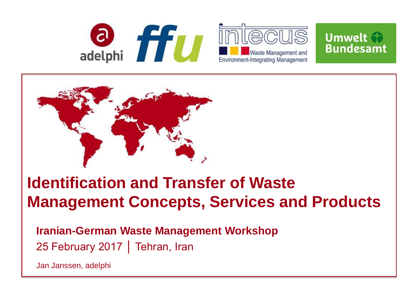



# **Identification and Transfer of Waste Management Concepts, Services and Products**

**Iranian-German Waste Management Workshop** 25 February 2017 | Tehran, Iran

Jan Janssen, adelphi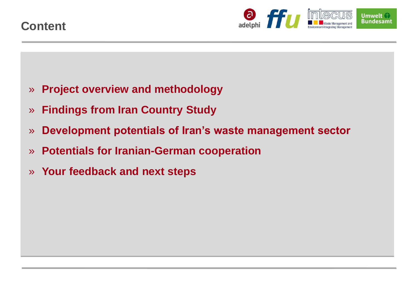

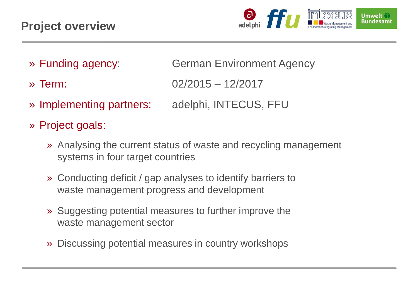

» Funding agency: German Environment Agency

- » Term: 02/2015 12/2017
- » Implementing partners: adelphi, INTECUS, FFU
- » Project goals:
	- » Analysing the current status of waste and recycling management systems in four target countries
	- » Conducting deficit / gap analyses to identify barriers to waste management progress and development
	- » Suggesting potential measures to further improve the waste management sector
	- » Discussing potential measures in country workshops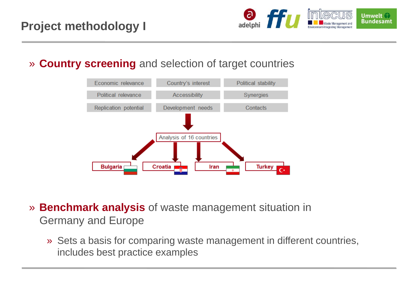

» **Country screening** and selection of target countries



- » **Benchmark analysis** of waste management situation in Germany and Europe
	- » Sets a basis for comparing waste management in different countries, includes best practice examples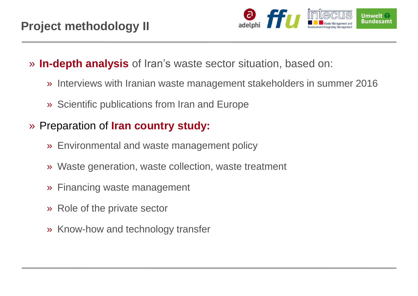

- » **In-depth analysis** of Iran's waste sector situation, based on:
	- » Interviews with Iranian waste management stakeholders in summer 2016
	- » Scientific publications from Iran and Europe
- » Preparation of **Iran country study:** 
	- » Environmental and waste management policy
	- » Waste generation, waste collection, waste treatment
	- » Financing waste management
	- » Role of the private sector
	- » Know-how and technology transfer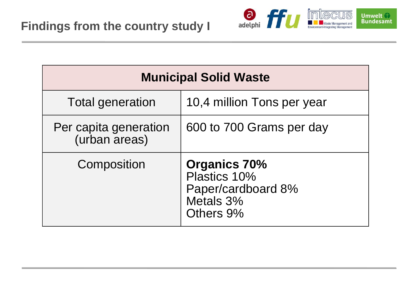

| <b>Municipal Solid Waste</b>           |                                                                                     |
|----------------------------------------|-------------------------------------------------------------------------------------|
| <b>Total generation</b>                | 10,4 million Tons per year                                                          |
| Per capita generation<br>(urban areas) | 600 to 700 Grams per day                                                            |
| Composition                            | <b>Organics 70%</b><br>Plastics 10%<br>Paper/cardboard 8%<br>Metals 3%<br>Others 9% |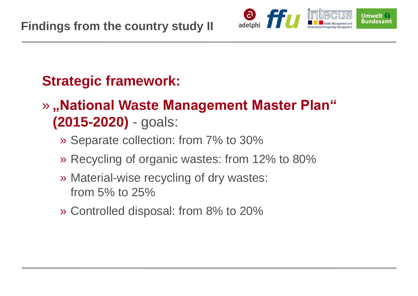

## **Strategic framework:**

- » **"National Waste Management Master Plan" (2015-2020)** - goals:
	- » Separate collection: from 7% to 30%
	- » Recycling of organic wastes: from 12% to 80%
	- » Material-wise recycling of dry wastes: from 5% to 25%
	- » Controlled disposal: from 8% to 20%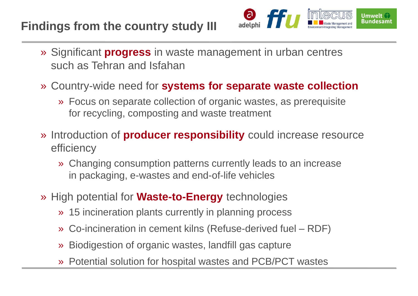### **Findings from the country study III**



- » Significant **progress** in waste management in urban centres such as Tehran and Isfahan
- » Country-wide need for **systems for separate waste collection**
	- » Focus on separate collection of organic wastes, as prerequisite for recycling, composting and waste treatment
- » Introduction of **producer responsibility** could increase resource efficiency
	- » Changing consumption patterns currently leads to an increase in packaging, e-wastes and end-of-life vehicles
- » High potential for **Waste-to-Energy** technologies
	- » 15 incineration plants currently in planning process
	- » Co-incineration in cement kilns (Refuse-derived fuel RDF)
	- » Biodigestion of organic wastes, landfill gas capture
	- » Potential solution for hospital wastes and PCB/PCT wastes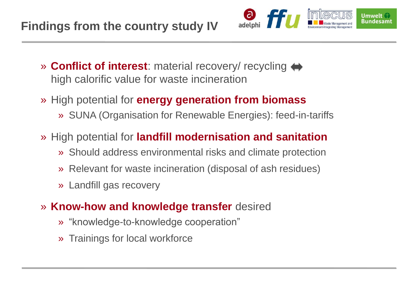

- » **Conflict of interest**: material recovery/ recycling high calorific value for waste incineration
- » High potential for **energy generation from biomass**
	- » SUNA (Organisation for Renewable Energies): feed-in-tariffs
- » High potential for **landfill modernisation and sanitation**
	- » Should address environmental risks and climate protection
	- » Relevant for waste incineration (disposal of ash residues)
	- » Landfill gas recovery
- » **Know-how and knowledge transfer** desired
	- » "knowledge-to-knowledge cooperation"
	- » Trainings for local workforce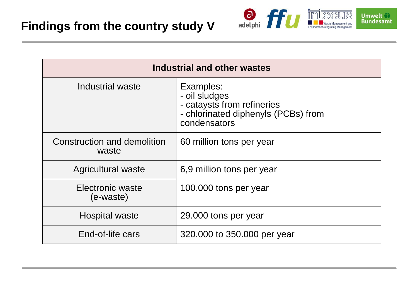

| <b>Industrial and other wastes</b>   |                                                                                                                 |
|--------------------------------------|-----------------------------------------------------------------------------------------------------------------|
| Industrial waste                     | Examples:<br>- oil sludges<br>- cataysts from refineries<br>- chlorinated diphenyls (PCBs) from<br>condensators |
| Construction and demolition<br>waste | 60 million tons per year                                                                                        |
| <b>Agricultural waste</b>            | 6,9 million tons per year                                                                                       |
| Electronic waste<br>(e-waste)        | 100.000 tons per year                                                                                           |
| <b>Hospital waste</b>                | 29.000 tons per year                                                                                            |
| End-of-life cars                     | 320.000 to 350.000 per year                                                                                     |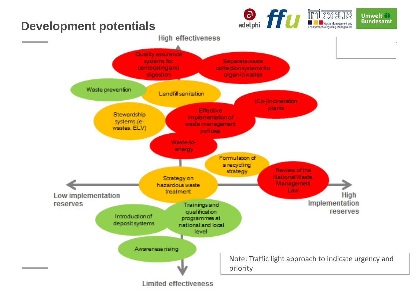#### adelphi **ffu mlecus Umwelt Bundesamt The Waste Management and Development potentials** Environment-Integrating Management **High effectiveness** Quality assurance Separatewaste systems for composting and collection systems for

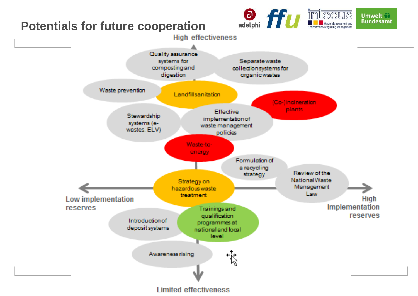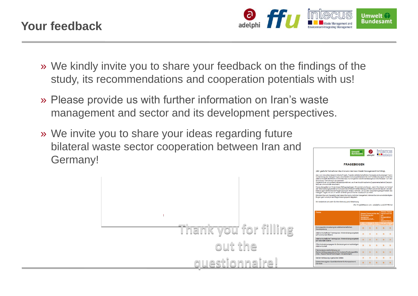

» We kindly invite you to share your feedback on the findings of the study, its recommendations and cooperation potentials with us!

**Thank you for filling** 

**out the** 

**questionnaire!**

- » Please provide us with further information on Iran's waste management and sector and its development perspectives.
- » We invite you to share your ideas regarding future bilateral waste sector cooperation between Iran and Germany!

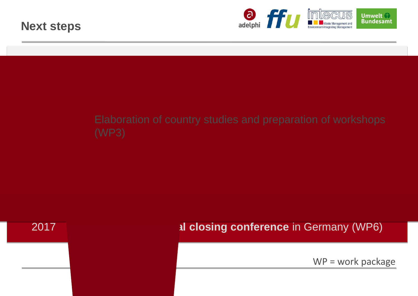